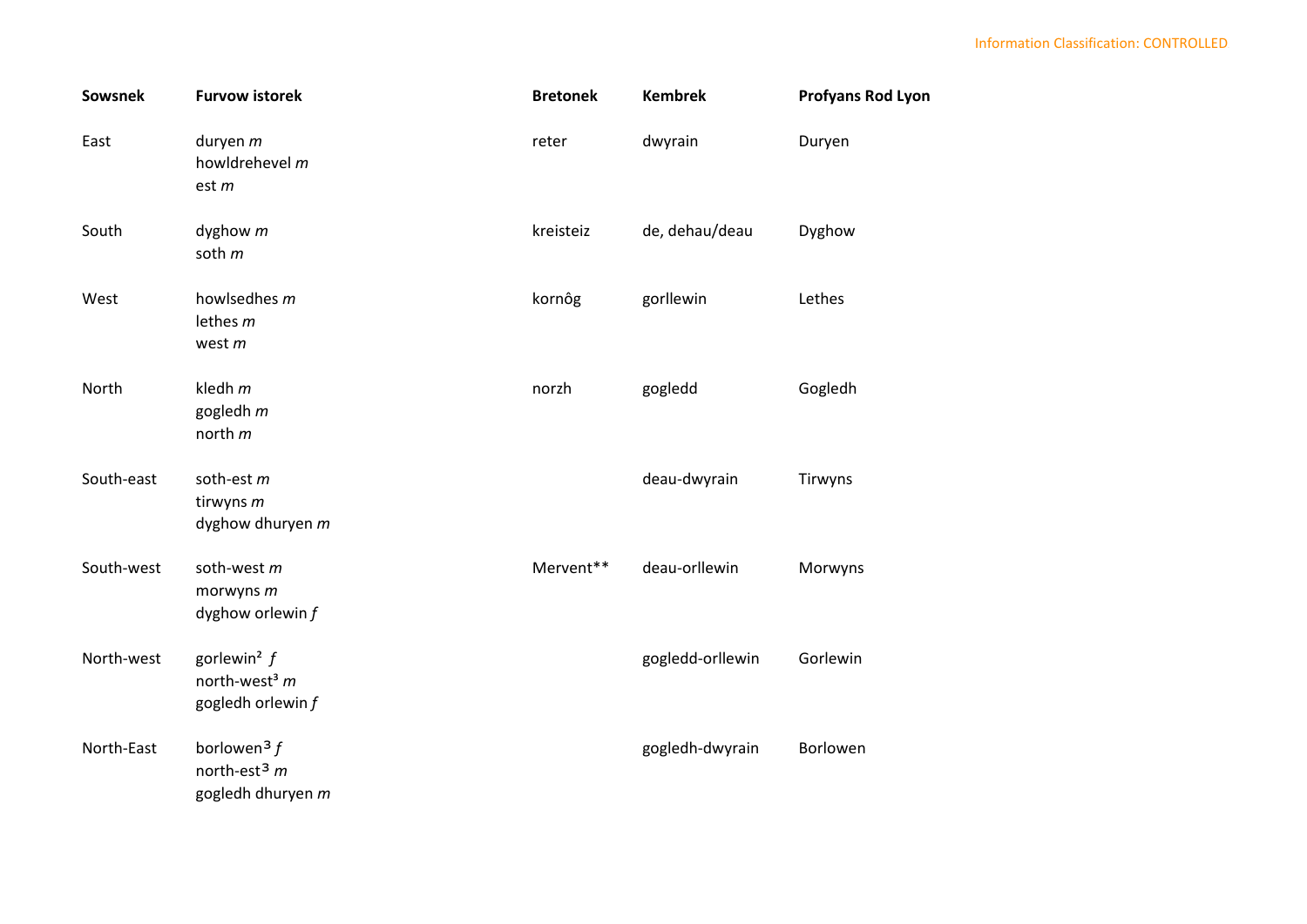| <b>Sowsnek</b> | <b>Furvow istorek</b>                                                         | <b>Bretonek</b> | <b>Kembrek</b>   | <b>Profyans Rod Lyon</b> |
|----------------|-------------------------------------------------------------------------------|-----------------|------------------|--------------------------|
| East           | duryen m<br>howldrehevel m<br>est m                                           | reter           | dwyrain          | Duryen                   |
| South          | dyghow $m$<br>soth m                                                          | kreisteiz       | de, dehau/deau   | Dyghow                   |
| West           | howlsedhes m<br>lethes $m$<br>west $m$                                        | kornôg          | gorllewin        | Lethes                   |
| North          | kledh $m$<br>gogledh m<br>north m                                             | norzh           | gogledd          | Gogledh                  |
| South-east     | soth-est $m$<br>tirwyns m<br>dyghow dhuryen m                                 |                 | deau-dwyrain     | Tirwyns                  |
| South-west     | soth-west m<br>morwyns m<br>dyghow orlewin $f$                                | Mervent**       | deau-orllewin    | Morwyns                  |
| North-west     | gorlewin <sup>2</sup> $f$<br>north-west <sup>3</sup> $m$<br>gogledh orlewin f |                 | gogledd-orllewin | Gorlewin                 |
| North-East     | borlowen <sup>3</sup> $f$<br>north-est <sup>3</sup> $m$<br>gogledh dhuryen m  |                 | gogledh-dwyrain  | Borlowen                 |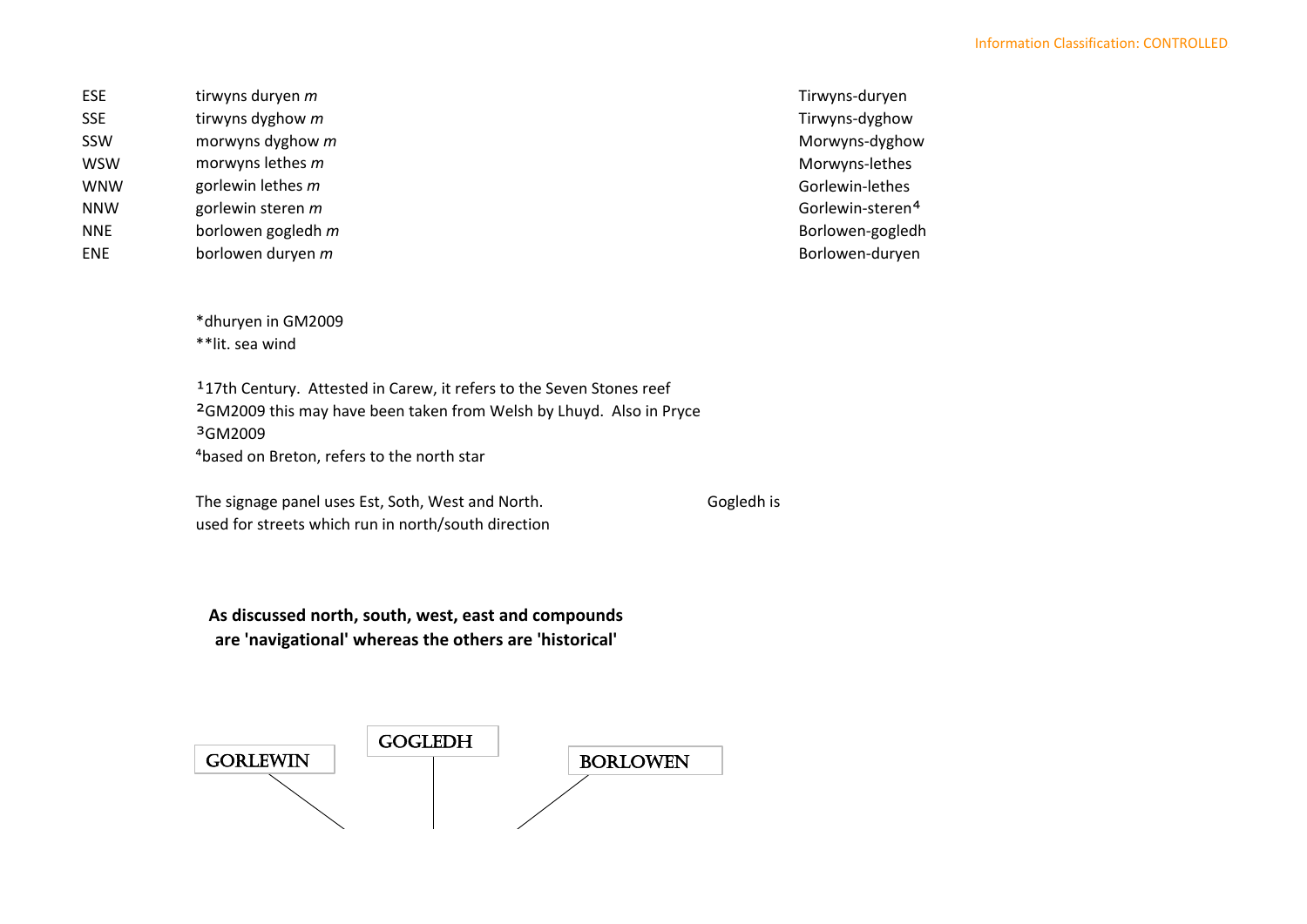ESE tirwyns duryen *m* Tirwyns-duryen SSE tirwyns dyghow *m* Tirwyns-dyghow *m* Tirwyns-dyghow SSW morwyns dyghow *m* Morwyns-dyghow WSW morwyns lethes *m* Morwyns-lethes WNW gorlewin lethes *m* and the contract of the contract of the contract of the contract of the contract of the contract of the contract of the contract of the contract of the contract of the contract of the contract of th NNW gorlewin steren *m* Gorlewin-steren<sup>4</sup> Gorlewin-steren<sup>4</sup> NNE borlowen gogledh *m* Borlowen-gogledh *m* Borlowen-gogledh and the Borlowen-gogledh borlowen and the Borlowen-gogledh ENE borlowen duryen *m* Borlowen-duryen

\*dhuryen in GM2009 \*\*lit. sea wind

³GM2009 ⁴based on Breton, refers to the north star <sup>1</sup>17th Century. Attested in Carew, it refers to the Seven Stones reef ²GM2009 this may have been taken from Welsh by Lhuyd. Also in Pryce

The signage panel uses Est, Soth, West and North. Gogledh is used for streets which run in north/south direction

**As discussed north, south, west, east and compounds are 'navigational' whereas the others are 'historical'**